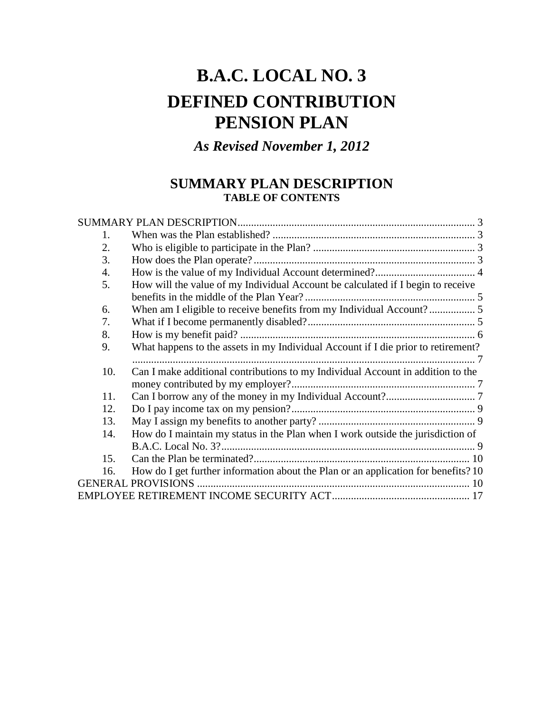# **B.A.C. LOCAL NO. 3 DEFINED CONTRIBUTION PENSION PLAN**

*As Revised November 1, 2012*

# **SUMMARY PLAN DESCRIPTION TABLE OF CONTENTS**

| 1.  |                                                                                    |  |  |
|-----|------------------------------------------------------------------------------------|--|--|
| 2.  |                                                                                    |  |  |
| 3.  |                                                                                    |  |  |
| 4.  |                                                                                    |  |  |
| 5.  | How will the value of my Individual Account be calculated if I begin to receive    |  |  |
|     |                                                                                    |  |  |
| 6.  | When am I eligible to receive benefits from my Individual Account? 5               |  |  |
| 7.  |                                                                                    |  |  |
| 8.  |                                                                                    |  |  |
| 9.  | What happens to the assets in my Individual Account if I die prior to retirement?  |  |  |
|     |                                                                                    |  |  |
| 10. | Can I make additional contributions to my Individual Account in addition to the    |  |  |
|     |                                                                                    |  |  |
| 11. |                                                                                    |  |  |
| 12. |                                                                                    |  |  |
| 13. |                                                                                    |  |  |
| 14. | How do I maintain my status in the Plan when I work outside the jurisdiction of    |  |  |
|     |                                                                                    |  |  |
| 15. |                                                                                    |  |  |
| 16. | How do I get further information about the Plan or an application for benefits? 10 |  |  |
|     |                                                                                    |  |  |
|     |                                                                                    |  |  |
|     |                                                                                    |  |  |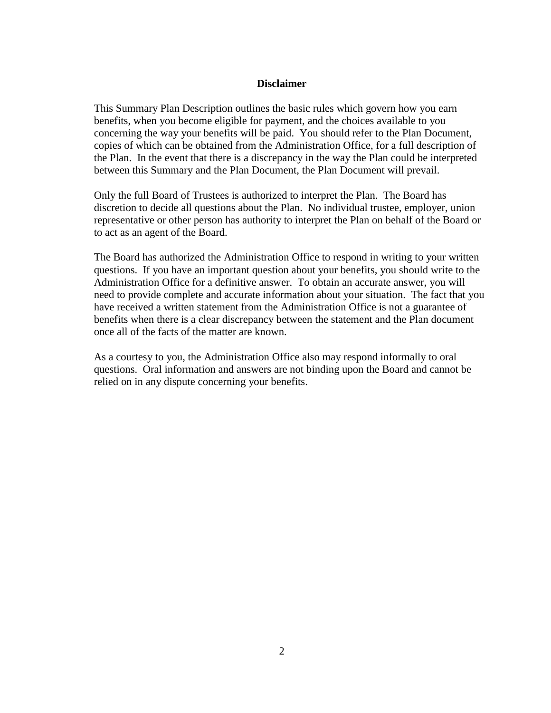#### **Disclaimer**

This Summary Plan Description outlines the basic rules which govern how you earn benefits, when you become eligible for payment, and the choices available to you concerning the way your benefits will be paid. You should refer to the Plan Document, copies of which can be obtained from the Administration Office, for a full description of the Plan. In the event that there is a discrepancy in the way the Plan could be interpreted between this Summary and the Plan Document, the Plan Document will prevail.

Only the full Board of Trustees is authorized to interpret the Plan. The Board has discretion to decide all questions about the Plan. No individual trustee, employer, union representative or other person has authority to interpret the Plan on behalf of the Board or to act as an agent of the Board.

The Board has authorized the Administration Office to respond in writing to your written questions. If you have an important question about your benefits, you should write to the Administration Office for a definitive answer. To obtain an accurate answer, you will need to provide complete and accurate information about your situation. The fact that you have received a written statement from the Administration Office is not a guarantee of benefits when there is a clear discrepancy between the statement and the Plan document once all of the facts of the matter are known.

As a courtesy to you, the Administration Office also may respond informally to oral questions. Oral information and answers are not binding upon the Board and cannot be relied on in any dispute concerning your benefits.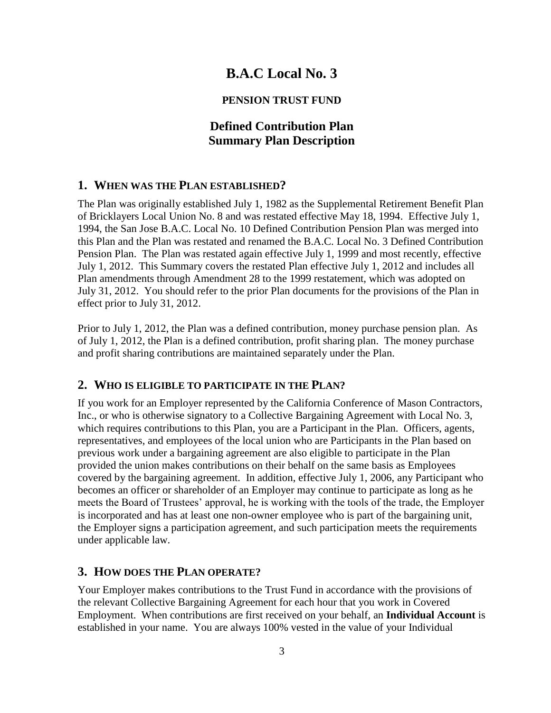# **B.A.C Local No. 3**

## **PENSION TRUST FUND**

# **Defined Contribution Plan Summary Plan Description**

## **1. WHEN WAS THE PLAN ESTABLISHED?**

The Plan was originally established July 1, 1982 as the Supplemental Retirement Benefit Plan of Bricklayers Local Union No. 8 and was restated effective May 18, 1994. Effective July 1, 1994, the San Jose B.A.C. Local No. 10 Defined Contribution Pension Plan was merged into this Plan and the Plan was restated and renamed the B.A.C. Local No. 3 Defined Contribution Pension Plan. The Plan was restated again effective July 1, 1999 and most recently, effective July 1, 2012. This Summary covers the restated Plan effective July 1, 2012 and includes all Plan amendments through Amendment 28 to the 1999 restatement, which was adopted on July 31, 2012. You should refer to the prior Plan documents for the provisions of the Plan in effect prior to July 31, 2012.

Prior to July 1, 2012, the Plan was a defined contribution, money purchase pension plan. As of July 1, 2012, the Plan is a defined contribution, profit sharing plan. The money purchase and profit sharing contributions are maintained separately under the Plan.

## **2. WHO IS ELIGIBLE TO PARTICIPATE IN THE PLAN?**

If you work for an Employer represented by the California Conference of Mason Contractors, Inc., or who is otherwise signatory to a Collective Bargaining Agreement with Local No. 3, which requires contributions to this Plan, you are a Participant in the Plan. Officers, agents, representatives, and employees of the local union who are Participants in the Plan based on previous work under a bargaining agreement are also eligible to participate in the Plan provided the union makes contributions on their behalf on the same basis as Employees covered by the bargaining agreement. In addition, effective July 1, 2006, any Participant who becomes an officer or shareholder of an Employer may continue to participate as long as he meets the Board of Trustees' approval, he is working with the tools of the trade, the Employer is incorporated and has at least one non-owner employee who is part of the bargaining unit, the Employer signs a participation agreement, and such participation meets the requirements under applicable law.

## **3. HOW DOES THE PLAN OPERATE?**

Your Employer makes contributions to the Trust Fund in accordance with the provisions of the relevant Collective Bargaining Agreement for each hour that you work in Covered Employment. When contributions are first received on your behalf, an **Individual Account** is established in your name. You are always 100% vested in the value of your Individual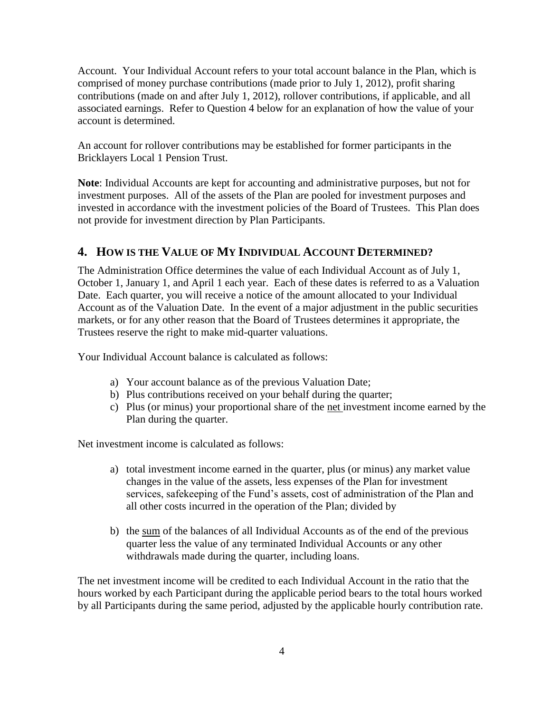Account. Your Individual Account refers to your total account balance in the Plan, which is comprised of money purchase contributions (made prior to July 1, 2012), profit sharing contributions (made on and after July 1, 2012), rollover contributions, if applicable, and all associated earnings. Refer to Question 4 below for an explanation of how the value of your account is determined.

An account for rollover contributions may be established for former participants in the Bricklayers Local 1 Pension Trust.

**Note**: Individual Accounts are kept for accounting and administrative purposes, but not for investment purposes. All of the assets of the Plan are pooled for investment purposes and invested in accordance with the investment policies of the Board of Trustees. This Plan does not provide for investment direction by Plan Participants.

# **4. HOW IS THE VALUE OF MY INDIVIDUAL ACCOUNT DETERMINED?**

The Administration Office determines the value of each Individual Account as of July 1, October 1, January 1, and April 1 each year. Each of these dates is referred to as a Valuation Date. Each quarter, you will receive a notice of the amount allocated to your Individual Account as of the Valuation Date. In the event of a major adjustment in the public securities markets, or for any other reason that the Board of Trustees determines it appropriate, the Trustees reserve the right to make mid-quarter valuations.

Your Individual Account balance is calculated as follows:

- a) Your account balance as of the previous Valuation Date;
- b) Plus contributions received on your behalf during the quarter;
- c) Plus (or minus) your proportional share of the net investment income earned by the Plan during the quarter.

Net investment income is calculated as follows:

- a) total investment income earned in the quarter, plus (or minus) any market value changes in the value of the assets, less expenses of the Plan for investment services, safekeeping of the Fund's assets, cost of administration of the Plan and all other costs incurred in the operation of the Plan; divided by
- b) the sum of the balances of all Individual Accounts as of the end of the previous quarter less the value of any terminated Individual Accounts or any other withdrawals made during the quarter, including loans.

The net investment income will be credited to each Individual Account in the ratio that the hours worked by each Participant during the applicable period bears to the total hours worked by all Participants during the same period, adjusted by the applicable hourly contribution rate.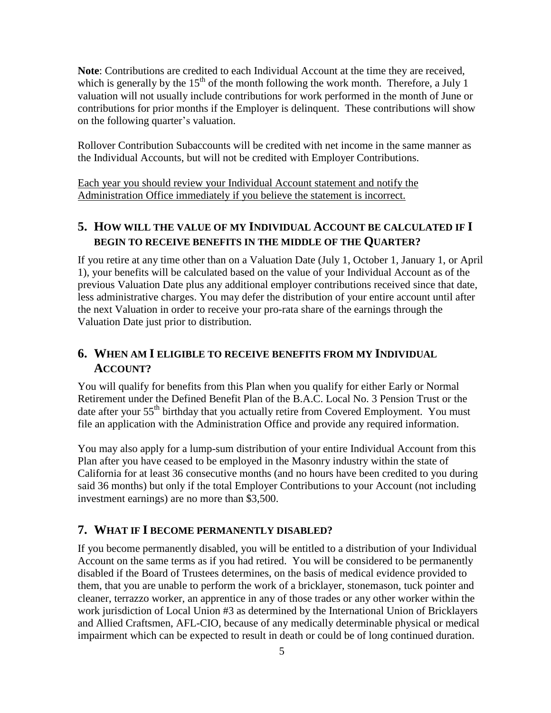**Note**: Contributions are credited to each Individual Account at the time they are received, which is generally by the  $15<sup>th</sup>$  of the month following the work month. Therefore, a July 1 valuation will not usually include contributions for work performed in the month of June or contributions for prior months if the Employer is delinquent. These contributions will show on the following quarter's valuation.

Rollover Contribution Subaccounts will be credited with net income in the same manner as the Individual Accounts, but will not be credited with Employer Contributions.

Each year you should review your Individual Account statement and notify the Administration Office immediately if you believe the statement is incorrect.

# **5. HOW WILL THE VALUE OF MY INDIVIDUAL ACCOUNT BE CALCULATED IF I BEGIN TO RECEIVE BENEFITS IN THE MIDDLE OF THE QUARTER?**

If you retire at any time other than on a Valuation Date (July 1, October 1, January 1, or April 1), your benefits will be calculated based on the value of your Individual Account as of the previous Valuation Date plus any additional employer contributions received since that date, less administrative charges. You may defer the distribution of your entire account until after the next Valuation in order to receive your pro-rata share of the earnings through the Valuation Date just prior to distribution.

# **6. WHEN AM I ELIGIBLE TO RECEIVE BENEFITS FROM MY INDIVIDUAL ACCOUNT?**

You will qualify for benefits from this Plan when you qualify for either Early or Normal Retirement under the Defined Benefit Plan of the B.A.C. Local No. 3 Pension Trust or the date after your 55<sup>th</sup> birthday that you actually retire from Covered Employment. You must file an application with the Administration Office and provide any required information.

You may also apply for a lump-sum distribution of your entire Individual Account from this Plan after you have ceased to be employed in the Masonry industry within the state of California for at least 36 consecutive months (and no hours have been credited to you during said 36 months) but only if the total Employer Contributions to your Account (not including investment earnings) are no more than \$3,500.

## **7. WHAT IF I BECOME PERMANENTLY DISABLED?**

If you become permanently disabled, you will be entitled to a distribution of your Individual Account on the same terms as if you had retired. You will be considered to be permanently disabled if the Board of Trustees determines, on the basis of medical evidence provided to them, that you are unable to perform the work of a bricklayer, stonemason, tuck pointer and cleaner, terrazzo worker, an apprentice in any of those trades or any other worker within the work jurisdiction of Local Union #3 as determined by the International Union of Bricklayers and Allied Craftsmen, AFL-CIO, because of any medically determinable physical or medical impairment which can be expected to result in death or could be of long continued duration.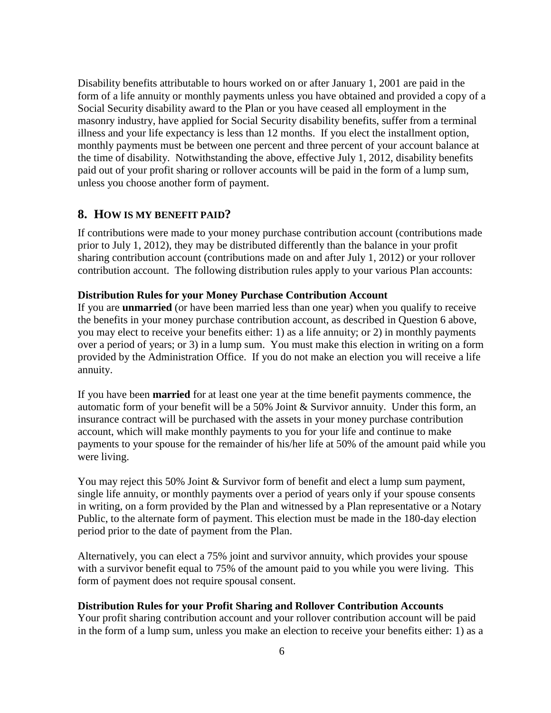Disability benefits attributable to hours worked on or after January 1, 2001 are paid in the form of a life annuity or monthly payments unless you have obtained and provided a copy of a Social Security disability award to the Plan or you have ceased all employment in the masonry industry, have applied for Social Security disability benefits, suffer from a terminal illness and your life expectancy is less than 12 months. If you elect the installment option, monthly payments must be between one percent and three percent of your account balance at the time of disability. Notwithstanding the above, effective July 1, 2012, disability benefits paid out of your profit sharing or rollover accounts will be paid in the form of a lump sum, unless you choose another form of payment.

#### **8. HOW IS MY BENEFIT PAID?**

If contributions were made to your money purchase contribution account (contributions made prior to July 1, 2012), they may be distributed differently than the balance in your profit sharing contribution account (contributions made on and after July 1, 2012) or your rollover contribution account. The following distribution rules apply to your various Plan accounts:

#### **Distribution Rules for your Money Purchase Contribution Account**

If you are **unmarried** (or have been married less than one year) when you qualify to receive the benefits in your money purchase contribution account, as described in Question 6 above, you may elect to receive your benefits either: 1) as a life annuity; or 2) in monthly payments over a period of years; or 3) in a lump sum. You must make this election in writing on a form provided by the Administration Office. If you do not make an election you will receive a life annuity.

If you have been **married** for at least one year at the time benefit payments commence, the automatic form of your benefit will be a 50% Joint & Survivor annuity. Under this form, an insurance contract will be purchased with the assets in your money purchase contribution account, which will make monthly payments to you for your life and continue to make payments to your spouse for the remainder of his/her life at 50% of the amount paid while you were living.

You may reject this 50% Joint & Survivor form of benefit and elect a lump sum payment, single life annuity, or monthly payments over a period of years only if your spouse consents in writing, on a form provided by the Plan and witnessed by a Plan representative or a Notary Public, to the alternate form of payment. This election must be made in the 180-day election period prior to the date of payment from the Plan.

Alternatively, you can elect a 75% joint and survivor annuity, which provides your spouse with a survivor benefit equal to 75% of the amount paid to you while you were living. This form of payment does not require spousal consent.

#### **Distribution Rules for your Profit Sharing and Rollover Contribution Accounts**

Your profit sharing contribution account and your rollover contribution account will be paid in the form of a lump sum, unless you make an election to receive your benefits either: 1) as a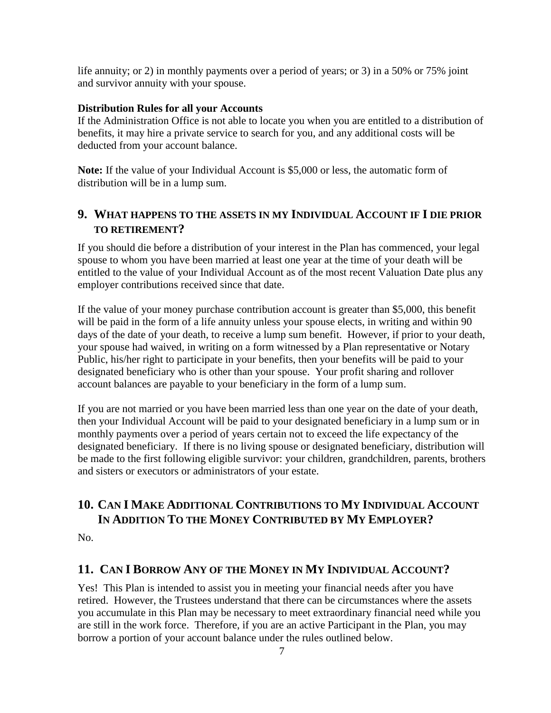life annuity; or 2) in monthly payments over a period of years; or 3) in a 50% or 75% joint and survivor annuity with your spouse.

#### **Distribution Rules for all your Accounts**

If the Administration Office is not able to locate you when you are entitled to a distribution of benefits, it may hire a private service to search for you, and any additional costs will be deducted from your account balance.

**Note:** If the value of your Individual Account is \$5,000 or less, the automatic form of distribution will be in a lump sum.

# **9. WHAT HAPPENS TO THE ASSETS IN MY INDIVIDUAL ACCOUNT IF I DIE PRIOR TO RETIREMENT?**

If you should die before a distribution of your interest in the Plan has commenced, your legal spouse to whom you have been married at least one year at the time of your death will be entitled to the value of your Individual Account as of the most recent Valuation Date plus any employer contributions received since that date.

If the value of your money purchase contribution account is greater than \$5,000, this benefit will be paid in the form of a life annuity unless your spouse elects, in writing and within 90 days of the date of your death, to receive a lump sum benefit. However, if prior to your death, your spouse had waived, in writing on a form witnessed by a Plan representative or Notary Public, his/her right to participate in your benefits, then your benefits will be paid to your designated beneficiary who is other than your spouse. Your profit sharing and rollover account balances are payable to your beneficiary in the form of a lump sum.

If you are not married or you have been married less than one year on the date of your death, then your Individual Account will be paid to your designated beneficiary in a lump sum or in monthly payments over a period of years certain not to exceed the life expectancy of the designated beneficiary. If there is no living spouse or designated beneficiary, distribution will be made to the first following eligible survivor: your children, grandchildren, parents, brothers and sisters or executors or administrators of your estate.

# **10. CAN I MAKE ADDITIONAL CONTRIBUTIONS TO MY INDIVIDUAL ACCOUNT IN ADDITION TO THE MONEY CONTRIBUTED BY MY EMPLOYER?**

No.

## **11. CAN I BORROW ANY OF THE MONEY IN MY INDIVIDUAL ACCOUNT?**

Yes! This Plan is intended to assist you in meeting your financial needs after you have retired. However, the Trustees understand that there can be circumstances where the assets you accumulate in this Plan may be necessary to meet extraordinary financial need while you are still in the work force. Therefore, if you are an active Participant in the Plan, you may borrow a portion of your account balance under the rules outlined below.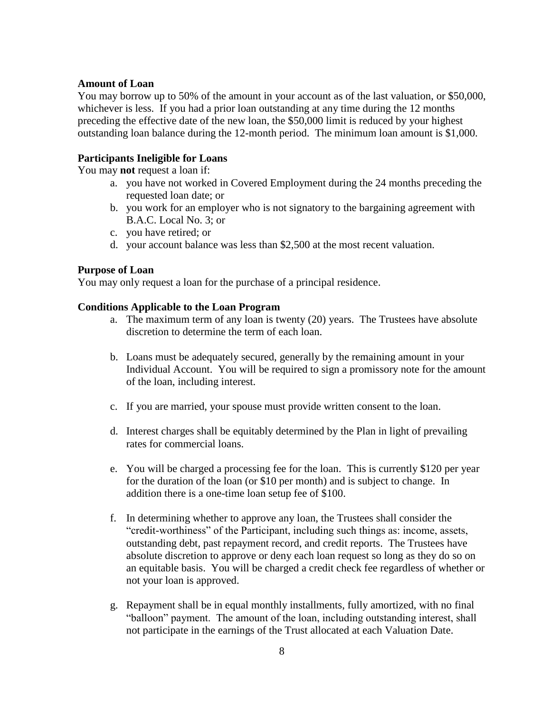#### **Amount of Loan**

You may borrow up to 50% of the amount in your account as of the last valuation, or \$50,000, whichever is less. If you had a prior loan outstanding at any time during the 12 months preceding the effective date of the new loan, the \$50,000 limit is reduced by your highest outstanding loan balance during the 12-month period. The minimum loan amount is \$1,000.

## **Participants Ineligible for Loans**

You may **not** request a loan if:

- a. you have not worked in Covered Employment during the 24 months preceding the requested loan date; or
- b. you work for an employer who is not signatory to the bargaining agreement with B.A.C. Local No. 3; or
- c. you have retired; or
- d. your account balance was less than \$2,500 at the most recent valuation.

#### **Purpose of Loan**

You may only request a loan for the purchase of a principal residence.

#### **Conditions Applicable to the Loan Program**

- a. The maximum term of any loan is twenty (20) years. The Trustees have absolute discretion to determine the term of each loan.
- b. Loans must be adequately secured, generally by the remaining amount in your Individual Account. You will be required to sign a promissory note for the amount of the loan, including interest.
- c. If you are married, your spouse must provide written consent to the loan.
- d. Interest charges shall be equitably determined by the Plan in light of prevailing rates for commercial loans.
- e. You will be charged a processing fee for the loan. This is currently \$120 per year for the duration of the loan (or \$10 per month) and is subject to change. In addition there is a one-time loan setup fee of \$100.
- f. In determining whether to approve any loan, the Trustees shall consider the "credit-worthiness" of the Participant, including such things as: income, assets, outstanding debt, past repayment record, and credit reports. The Trustees have absolute discretion to approve or deny each loan request so long as they do so on an equitable basis. You will be charged a credit check fee regardless of whether or not your loan is approved.
- g. Repayment shall be in equal monthly installments, fully amortized, with no final "balloon" payment. The amount of the loan, including outstanding interest, shall not participate in the earnings of the Trust allocated at each Valuation Date.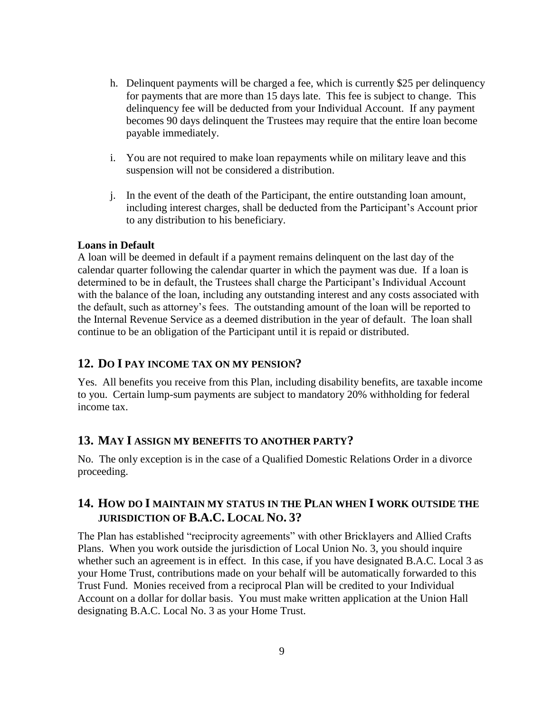- h. Delinquent payments will be charged a fee, which is currently \$25 per delinquency for payments that are more than 15 days late. This fee is subject to change. This delinquency fee will be deducted from your Individual Account. If any payment becomes 90 days delinquent the Trustees may require that the entire loan become payable immediately.
- i. You are not required to make loan repayments while on military leave and this suspension will not be considered a distribution.
- j. In the event of the death of the Participant, the entire outstanding loan amount, including interest charges, shall be deducted from the Participant's Account prior to any distribution to his beneficiary.

## **Loans in Default**

A loan will be deemed in default if a payment remains delinquent on the last day of the calendar quarter following the calendar quarter in which the payment was due. If a loan is determined to be in default, the Trustees shall charge the Participant's Individual Account with the balance of the loan, including any outstanding interest and any costs associated with the default, such as attorney's fees. The outstanding amount of the loan will be reported to the Internal Revenue Service as a deemed distribution in the year of default. The loan shall continue to be an obligation of the Participant until it is repaid or distributed.

## **12. DO I PAY INCOME TAX ON MY PENSION?**

Yes. All benefits you receive from this Plan, including disability benefits, are taxable income to you. Certain lump-sum payments are subject to mandatory 20% withholding for federal income tax.

## **13. MAY I ASSIGN MY BENEFITS TO ANOTHER PARTY?**

No. The only exception is in the case of a Qualified Domestic Relations Order in a divorce proceeding.

# **14. HOW DO I MAINTAIN MY STATUS IN THE PLAN WHEN I WORK OUTSIDE THE JURISDICTION OF B.A.C. LOCAL NO. 3?**

The Plan has established "reciprocity agreements" with other Bricklayers and Allied Crafts Plans. When you work outside the jurisdiction of Local Union No. 3, you should inquire whether such an agreement is in effect. In this case, if you have designated B.A.C. Local 3 as your Home Trust, contributions made on your behalf will be automatically forwarded to this Trust Fund. Monies received from a reciprocal Plan will be credited to your Individual Account on a dollar for dollar basis. You must make written application at the Union Hall designating B.A.C. Local No. 3 as your Home Trust.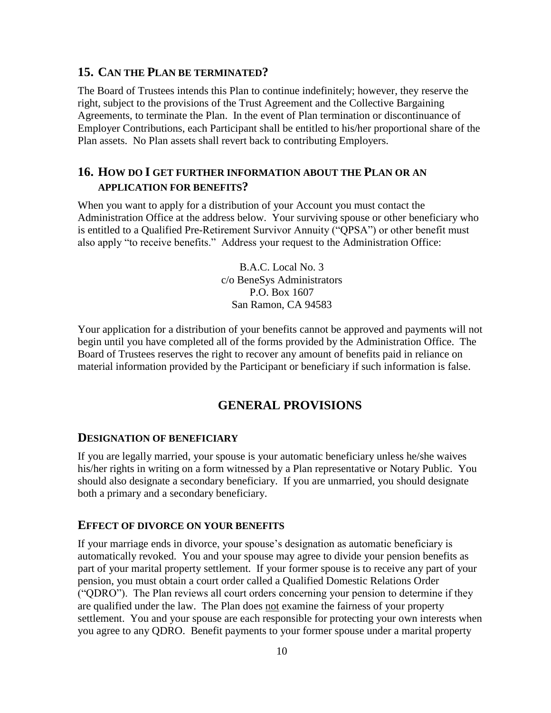## **15. CAN THE PLAN BE TERMINATED?**

The Board of Trustees intends this Plan to continue indefinitely; however, they reserve the right, subject to the provisions of the Trust Agreement and the Collective Bargaining Agreements, to terminate the Plan. In the event of Plan termination or discontinuance of Employer Contributions, each Participant shall be entitled to his/her proportional share of the Plan assets. No Plan assets shall revert back to contributing Employers.

# **16. HOW DO I GET FURTHER INFORMATION ABOUT THE PLAN OR AN APPLICATION FOR BENEFITS?**

When you want to apply for a distribution of your Account you must contact the Administration Office at the address below. Your surviving spouse or other beneficiary who is entitled to a Qualified Pre-Retirement Survivor Annuity ("QPSA") or other benefit must also apply "to receive benefits." Address your request to the Administration Office:

> B.A.C. Local No. 3 c/o BeneSys Administrators P.O. Box 1607 San Ramon, CA 94583

Your application for a distribution of your benefits cannot be approved and payments will not begin until you have completed all of the forms provided by the Administration Office. The Board of Trustees reserves the right to recover any amount of benefits paid in reliance on material information provided by the Participant or beneficiary if such information is false.

# **GENERAL PROVISIONS**

#### **DESIGNATION OF BENEFICIARY**

If you are legally married, your spouse is your automatic beneficiary unless he/she waives his/her rights in writing on a form witnessed by a Plan representative or Notary Public. You should also designate a secondary beneficiary. If you are unmarried, you should designate both a primary and a secondary beneficiary.

#### **EFFECT OF DIVORCE ON YOUR BENEFITS**

If your marriage ends in divorce, your spouse's designation as automatic beneficiary is automatically revoked. You and your spouse may agree to divide your pension benefits as part of your marital property settlement. If your former spouse is to receive any part of your pension, you must obtain a court order called a Qualified Domestic Relations Order ("QDRO"). The Plan reviews all court orders concerning your pension to determine if they are qualified under the law. The Plan does not examine the fairness of your property settlement. You and your spouse are each responsible for protecting your own interests when you agree to any QDRO. Benefit payments to your former spouse under a marital property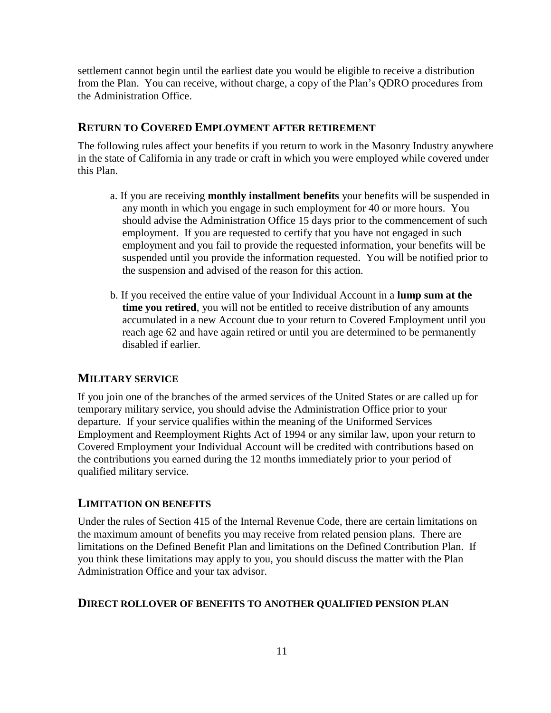settlement cannot begin until the earliest date you would be eligible to receive a distribution from the Plan. You can receive, without charge, a copy of the Plan's QDRO procedures from the Administration Office.

## **RETURN TO COVERED EMPLOYMENT AFTER RETIREMENT**

The following rules affect your benefits if you return to work in the Masonry Industry anywhere in the state of California in any trade or craft in which you were employed while covered under this Plan.

- a. If you are receiving **monthly installment benefits** your benefits will be suspended in any month in which you engage in such employment for 40 or more hours. You should advise the Administration Office 15 days prior to the commencement of such employment. If you are requested to certify that you have not engaged in such employment and you fail to provide the requested information, your benefits will be suspended until you provide the information requested. You will be notified prior to the suspension and advised of the reason for this action.
- b. If you received the entire value of your Individual Account in a **lump sum at the time you retired**, you will not be entitled to receive distribution of any amounts accumulated in a new Account due to your return to Covered Employment until you reach age 62 and have again retired or until you are determined to be permanently disabled if earlier.

## **MILITARY SERVICE**

If you join one of the branches of the armed services of the United States or are called up for temporary military service, you should advise the Administration Office prior to your departure. If your service qualifies within the meaning of the Uniformed Services Employment and Reemployment Rights Act of 1994 or any similar law, upon your return to Covered Employment your Individual Account will be credited with contributions based on the contributions you earned during the 12 months immediately prior to your period of qualified military service.

#### **LIMITATION ON BENEFITS**

Under the rules of Section 415 of the Internal Revenue Code, there are certain limitations on the maximum amount of benefits you may receive from related pension plans. There are limitations on the Defined Benefit Plan and limitations on the Defined Contribution Plan. If you think these limitations may apply to you, you should discuss the matter with the Plan Administration Office and your tax advisor.

#### **DIRECT ROLLOVER OF BENEFITS TO ANOTHER QUALIFIED PENSION PLAN**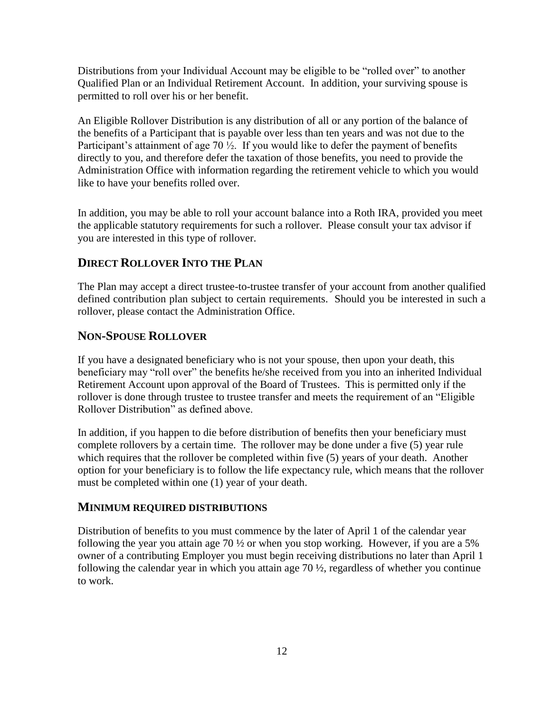Distributions from your Individual Account may be eligible to be "rolled over" to another Qualified Plan or an Individual Retirement Account. In addition, your surviving spouse is permitted to roll over his or her benefit.

An Eligible Rollover Distribution is any distribution of all or any portion of the balance of the benefits of a Participant that is payable over less than ten years and was not due to the Participant's attainment of age 70  $\frac{1}{2}$ . If you would like to defer the payment of benefits directly to you, and therefore defer the taxation of those benefits, you need to provide the Administration Office with information regarding the retirement vehicle to which you would like to have your benefits rolled over.

In addition, you may be able to roll your account balance into a Roth IRA, provided you meet the applicable statutory requirements for such a rollover. Please consult your tax advisor if you are interested in this type of rollover.

# **DIRECT ROLLOVER INTO THE PLAN**

The Plan may accept a direct trustee-to-trustee transfer of your account from another qualified defined contribution plan subject to certain requirements. Should you be interested in such a rollover, please contact the Administration Office.

# **NON-SPOUSE ROLLOVER**

If you have a designated beneficiary who is not your spouse, then upon your death, this beneficiary may "roll over" the benefits he/she received from you into an inherited Individual Retirement Account upon approval of the Board of Trustees. This is permitted only if the rollover is done through trustee to trustee transfer and meets the requirement of an "Eligible Rollover Distribution" as defined above.

In addition, if you happen to die before distribution of benefits then your beneficiary must complete rollovers by a certain time. The rollover may be done under a five (5) year rule which requires that the rollover be completed within five (5) years of your death. Another option for your beneficiary is to follow the life expectancy rule, which means that the rollover must be completed within one (1) year of your death.

## **MINIMUM REQUIRED DISTRIBUTIONS**

Distribution of benefits to you must commence by the later of April 1 of the calendar year following the year you attain age 70 ½ or when you stop working. However, if you are a 5% owner of a contributing Employer you must begin receiving distributions no later than April 1 following the calendar year in which you attain age 70 ½, regardless of whether you continue to work.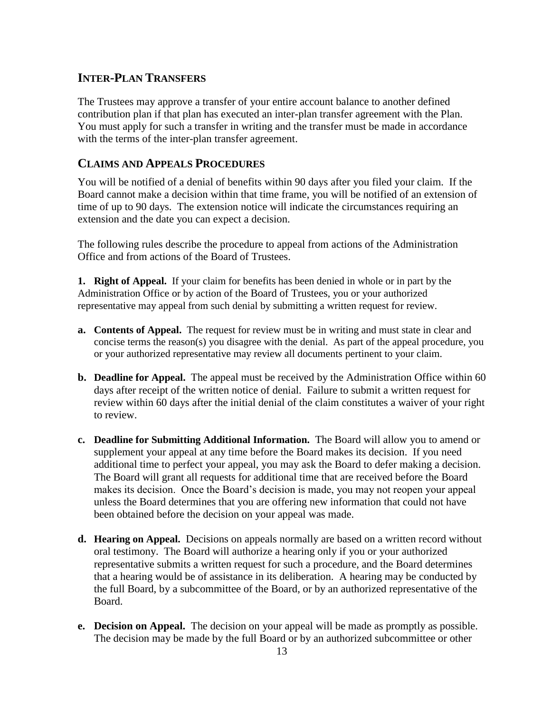## **INTER-PLAN TRANSFERS**

The Trustees may approve a transfer of your entire account balance to another defined contribution plan if that plan has executed an inter-plan transfer agreement with the Plan. You must apply for such a transfer in writing and the transfer must be made in accordance with the terms of the inter-plan transfer agreement.

## **CLAIMS AND APPEALS PROCEDURES**

You will be notified of a denial of benefits within 90 days after you filed your claim. If the Board cannot make a decision within that time frame, you will be notified of an extension of time of up to 90 days. The extension notice will indicate the circumstances requiring an extension and the date you can expect a decision.

The following rules describe the procedure to appeal from actions of the Administration Office and from actions of the Board of Trustees.

**1. Right of Appeal.** If your claim for benefits has been denied in whole or in part by the Administration Office or by action of the Board of Trustees, you or your authorized representative may appeal from such denial by submitting a written request for review.

- **a. Contents of Appeal.** The request for review must be in writing and must state in clear and concise terms the reason(s) you disagree with the denial. As part of the appeal procedure, you or your authorized representative may review all documents pertinent to your claim.
- **b. Deadline for Appeal.** The appeal must be received by the Administration Office within 60 days after receipt of the written notice of denial. Failure to submit a written request for review within 60 days after the initial denial of the claim constitutes a waiver of your right to review.
- **c. Deadline for Submitting Additional Information.** The Board will allow you to amend or supplement your appeal at any time before the Board makes its decision. If you need additional time to perfect your appeal, you may ask the Board to defer making a decision. The Board will grant all requests for additional time that are received before the Board makes its decision. Once the Board's decision is made, you may not reopen your appeal unless the Board determines that you are offering new information that could not have been obtained before the decision on your appeal was made.
- **d. Hearing on Appeal.** Decisions on appeals normally are based on a written record without oral testimony. The Board will authorize a hearing only if you or your authorized representative submits a written request for such a procedure, and the Board determines that a hearing would be of assistance in its deliberation. A hearing may be conducted by the full Board, by a subcommittee of the Board, or by an authorized representative of the Board.
- **e. Decision on Appeal.** The decision on your appeal will be made as promptly as possible. The decision may be made by the full Board or by an authorized subcommittee or other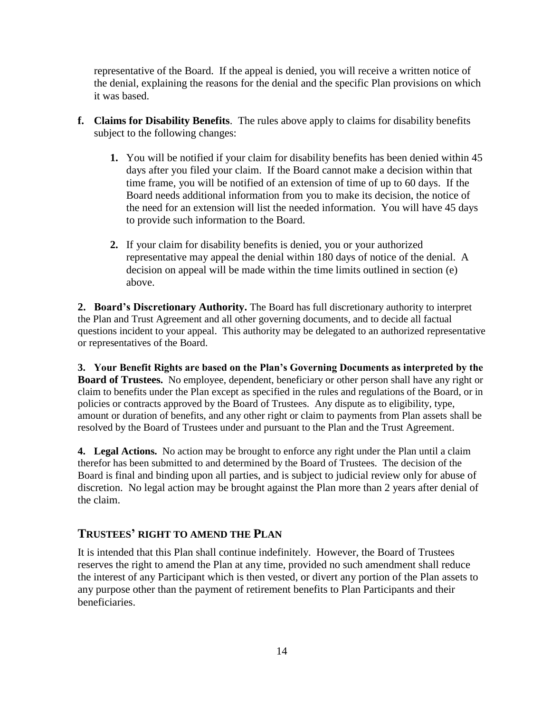representative of the Board. If the appeal is denied, you will receive a written notice of the denial, explaining the reasons for the denial and the specific Plan provisions on which it was based.

- **f. Claims for Disability Benefits**.The rules above apply to claims for disability benefits subject to the following changes:
	- **1.** You will be notified if your claim for disability benefits has been denied within 45 days after you filed your claim. If the Board cannot make a decision within that time frame, you will be notified of an extension of time of up to 60 days. If the Board needs additional information from you to make its decision, the notice of the need for an extension will list the needed information. You will have 45 days to provide such information to the Board.
	- **2.** If your claim for disability benefits is denied, you or your authorized representative may appeal the denial within 180 days of notice of the denial. A decision on appeal will be made within the time limits outlined in section (e) above.

**2. Board's Discretionary Authority.** The Board has full discretionary authority to interpret the Plan and Trust Agreement and all other governing documents, and to decide all factual questions incident to your appeal. This authority may be delegated to an authorized representative or representatives of the Board.

**3. Your Benefit Rights are based on the Plan's Governing Documents as interpreted by the Board of Trustees.** No employee, dependent, beneficiary or other person shall have any right or claim to benefits under the Plan except as specified in the rules and regulations of the Board, or in policies or contracts approved by the Board of Trustees. Any dispute as to eligibility, type, amount or duration of benefits, and any other right or claim to payments from Plan assets shall be resolved by the Board of Trustees under and pursuant to the Plan and the Trust Agreement.

**4. Legal Actions.** No action may be brought to enforce any right under the Plan until a claim therefor has been submitted to and determined by the Board of Trustees. The decision of the Board is final and binding upon all parties, and is subject to judicial review only for abuse of discretion. No legal action may be brought against the Plan more than 2 years after denial of the claim.

## **TRUSTEES' RIGHT TO AMEND THE PLAN**

It is intended that this Plan shall continue indefinitely. However, the Board of Trustees reserves the right to amend the Plan at any time, provided no such amendment shall reduce the interest of any Participant which is then vested, or divert any portion of the Plan assets to any purpose other than the payment of retirement benefits to Plan Participants and their beneficiaries.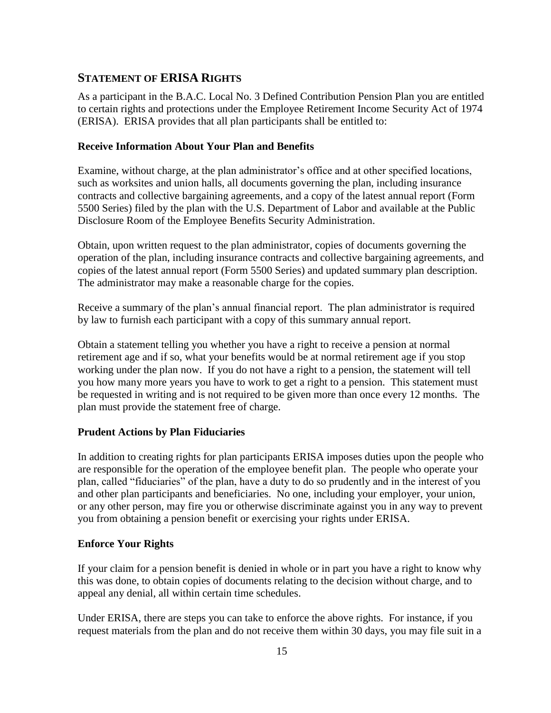# **STATEMENT OF ERISA RIGHTS**

As a participant in the B.A.C. Local No. 3 Defined Contribution Pension Plan you are entitled to certain rights and protections under the Employee Retirement Income Security Act of 1974 (ERISA). ERISA provides that all plan participants shall be entitled to:

## **Receive Information About Your Plan and Benefits**

Examine, without charge, at the plan administrator's office and at other specified locations, such as worksites and union halls, all documents governing the plan, including insurance contracts and collective bargaining agreements, and a copy of the latest annual report (Form 5500 Series) filed by the plan with the U.S. Department of Labor and available at the Public Disclosure Room of the Employee Benefits Security Administration.

Obtain, upon written request to the plan administrator, copies of documents governing the operation of the plan, including insurance contracts and collective bargaining agreements, and copies of the latest annual report (Form 5500 Series) and updated summary plan description. The administrator may make a reasonable charge for the copies.

Receive a summary of the plan's annual financial report. The plan administrator is required by law to furnish each participant with a copy of this summary annual report.

Obtain a statement telling you whether you have a right to receive a pension at normal retirement age and if so, what your benefits would be at normal retirement age if you stop working under the plan now. If you do not have a right to a pension, the statement will tell you how many more years you have to work to get a right to a pension. This statement must be requested in writing and is not required to be given more than once every 12 months. The plan must provide the statement free of charge.

## **Prudent Actions by Plan Fiduciaries**

In addition to creating rights for plan participants ERISA imposes duties upon the people who are responsible for the operation of the employee benefit plan. The people who operate your plan, called "fiduciaries" of the plan, have a duty to do so prudently and in the interest of you and other plan participants and beneficiaries. No one, including your employer, your union, or any other person, may fire you or otherwise discriminate against you in any way to prevent you from obtaining a pension benefit or exercising your rights under ERISA.

## **Enforce Your Rights**

If your claim for a pension benefit is denied in whole or in part you have a right to know why this was done, to obtain copies of documents relating to the decision without charge, and to appeal any denial, all within certain time schedules.

Under ERISA, there are steps you can take to enforce the above rights. For instance, if you request materials from the plan and do not receive them within 30 days, you may file suit in a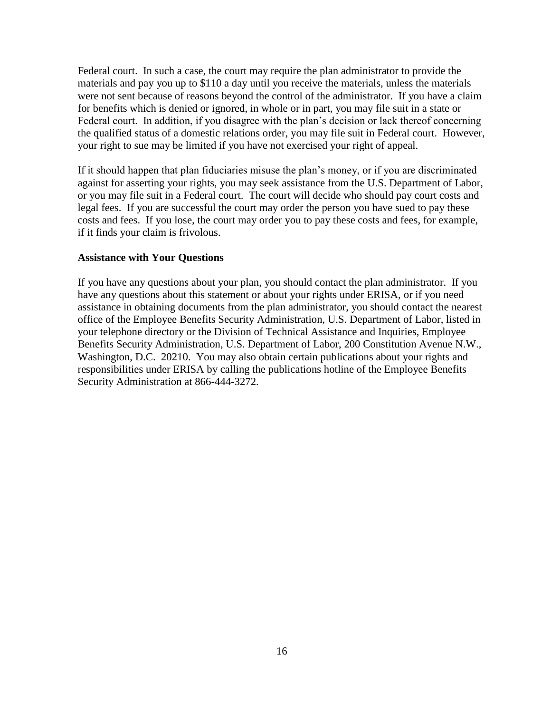Federal court. In such a case, the court may require the plan administrator to provide the materials and pay you up to \$110 a day until you receive the materials, unless the materials were not sent because of reasons beyond the control of the administrator. If you have a claim for benefits which is denied or ignored, in whole or in part, you may file suit in a state or Federal court. In addition, if you disagree with the plan's decision or lack thereof concerning the qualified status of a domestic relations order, you may file suit in Federal court. However, your right to sue may be limited if you have not exercised your right of appeal.

If it should happen that plan fiduciaries misuse the plan's money, or if you are discriminated against for asserting your rights, you may seek assistance from the U.S. Department of Labor, or you may file suit in a Federal court. The court will decide who should pay court costs and legal fees. If you are successful the court may order the person you have sued to pay these costs and fees. If you lose, the court may order you to pay these costs and fees, for example, if it finds your claim is frivolous.

#### **Assistance with Your Questions**

If you have any questions about your plan, you should contact the plan administrator. If you have any questions about this statement or about your rights under ERISA, or if you need assistance in obtaining documents from the plan administrator, you should contact the nearest office of the Employee Benefits Security Administration, U.S. Department of Labor, listed in your telephone directory or the Division of Technical Assistance and Inquiries, Employee Benefits Security Administration, U.S. Department of Labor, 200 Constitution Avenue N.W., Washington, D.C. 20210. You may also obtain certain publications about your rights and responsibilities under ERISA by calling the publications hotline of the Employee Benefits Security Administration at 866-444-3272.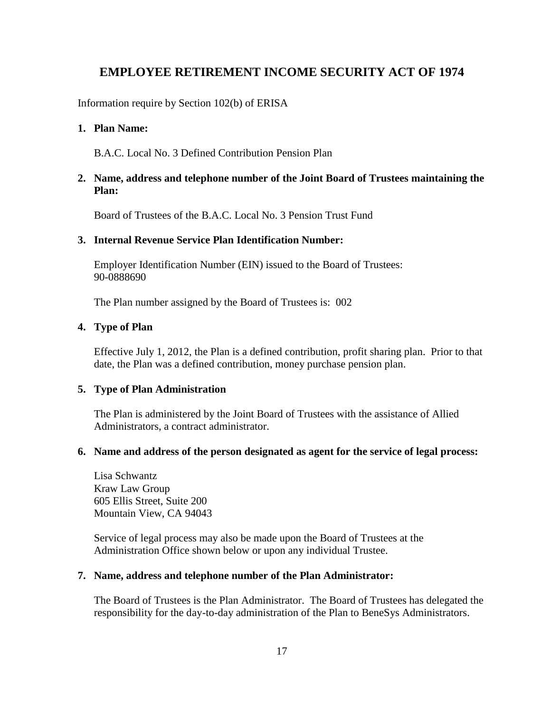# **EMPLOYEE RETIREMENT INCOME SECURITY ACT OF 1974**

Information require by Section 102(b) of ERISA

## **1. Plan Name:**

B.A.C. Local No. 3 Defined Contribution Pension Plan

## **2. Name, address and telephone number of the Joint Board of Trustees maintaining the Plan:**

Board of Trustees of the B.A.C. Local No. 3 Pension Trust Fund

## **3. Internal Revenue Service Plan Identification Number:**

Employer Identification Number (EIN) issued to the Board of Trustees: 90-0888690

The Plan number assigned by the Board of Trustees is: 002

## **4. Type of Plan**

Effective July 1, 2012, the Plan is a defined contribution, profit sharing plan. Prior to that date, the Plan was a defined contribution, money purchase pension plan.

## **5. Type of Plan Administration**

The Plan is administered by the Joint Board of Trustees with the assistance of Allied Administrators, a contract administrator.

#### **6. Name and address of the person designated as agent for the service of legal process:**

Lisa Schwantz Kraw Law Group 605 Ellis Street, Suite 200 Mountain View, CA 94043

Service of legal process may also be made upon the Board of Trustees at the Administration Office shown below or upon any individual Trustee.

#### **7. Name, address and telephone number of the Plan Administrator:**

The Board of Trustees is the Plan Administrator. The Board of Trustees has delegated the responsibility for the day-to-day administration of the Plan to BeneSys Administrators.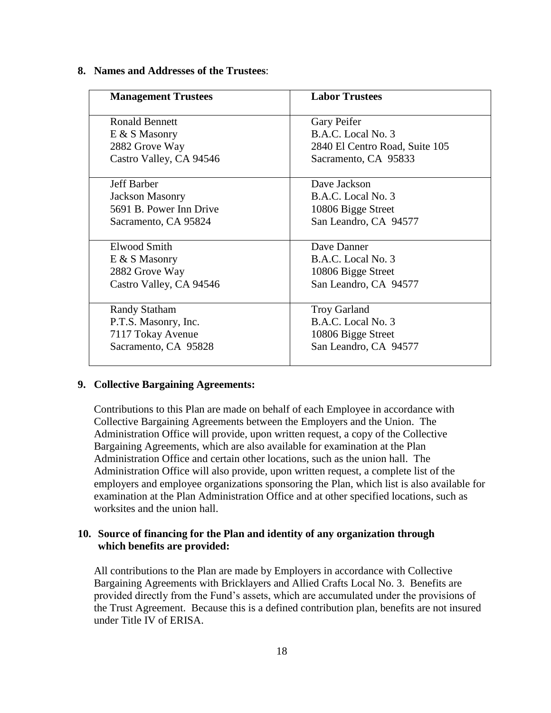## **8. Names and Addresses of the Trustees**:

| <b>Management Trustees</b> | <b>Labor Trustees</b>          |
|----------------------------|--------------------------------|
| <b>Ronald Bennett</b>      | Gary Peifer                    |
| $E & S$ Masonry            | B.A.C. Local No. 3             |
| 2882 Grove Way             | 2840 El Centro Road, Suite 105 |
| Castro Valley, CA 94546    | Sacramento, CA 95833           |
| <b>Jeff Barber</b>         | Dave Jackson                   |
| <b>Jackson Masonry</b>     | B.A.C. Local No. 3             |
| 5691 B. Power Inn Drive    | 10806 Bigge Street             |
| Sacramento, CA 95824       | San Leandro, CA 94577          |
| Elwood Smith               | Dave Danner                    |
| $E \& S$ Masonry           | B.A.C. Local No. 3             |
| 2882 Grove Way             | 10806 Bigge Street             |
| Castro Valley, CA 94546    | San Leandro, CA 94577          |
| <b>Randy Statham</b>       | <b>Troy Garland</b>            |
| P.T.S. Masonry, Inc.       | B.A.C. Local No. 3             |
| 7117 Tokay Avenue          | 10806 Bigge Street             |
| Sacramento, CA 95828       | San Leandro, CA 94577          |

#### **9. Collective Bargaining Agreements:**

Contributions to this Plan are made on behalf of each Employee in accordance with Collective Bargaining Agreements between the Employers and the Union. The Administration Office will provide, upon written request, a copy of the Collective Bargaining Agreements, which are also available for examination at the Plan Administration Office and certain other locations, such as the union hall. The Administration Office will also provide, upon written request, a complete list of the employers and employee organizations sponsoring the Plan, which list is also available for examination at the Plan Administration Office and at other specified locations, such as worksites and the union hall.

## **10. Source of financing for the Plan and identity of any organization through which benefits are provided:**

All contributions to the Plan are made by Employers in accordance with Collective Bargaining Agreements with Bricklayers and Allied Crafts Local No. 3. Benefits are provided directly from the Fund's assets, which are accumulated under the provisions of the Trust Agreement. Because this is a defined contribution plan, benefits are not insured under Title IV of ERISA.